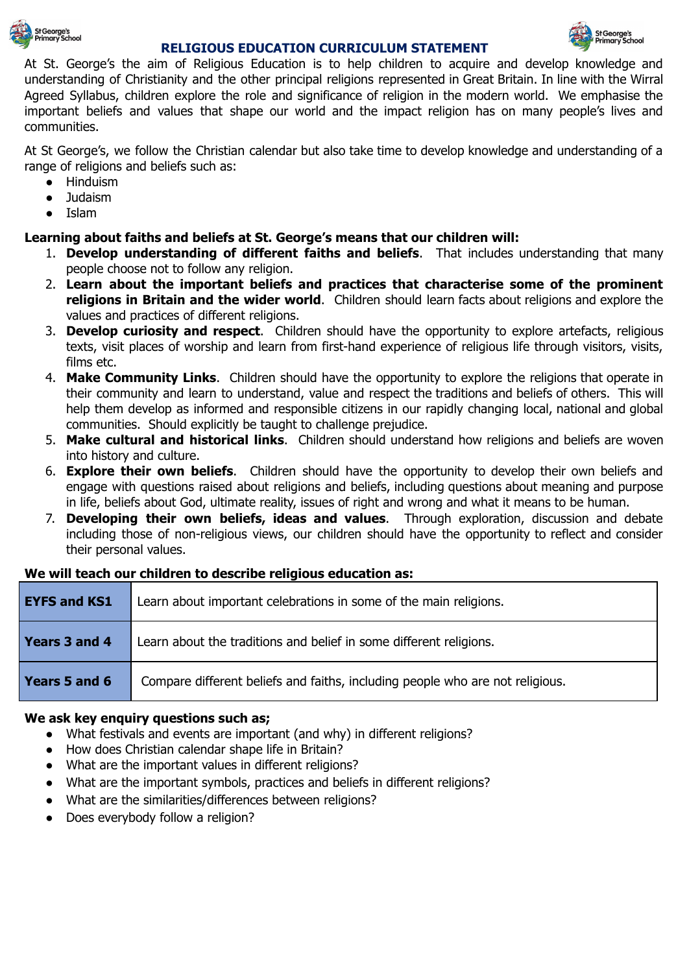

### **RELIGIOUS EDUCATION CURRICULUM STATEMENT**



At St. George's the aim of Religious Education is to help children to acquire and develop knowledge and understanding of Christianity and the other principal religions represented in Great Britain. In line with the Wirral Agreed Syllabus, children explore the role and significance of religion in the modern world. We emphasise the important beliefs and values that shape our world and the impact religion has on many people's lives and communities.

At St George's, we follow the Christian calendar but also take time to develop knowledge and understanding of a range of religions and beliefs such as:

- Hinduism
- Judaism
- **Islam**

### **Learning about faiths and beliefs at St. George's means that our children will:**

- 1. **Develop understanding of different faiths and beliefs**. That includes understanding that many people choose not to follow any religion.
- 2. **Learn about the important beliefs and practices that characterise some of the prominent religions in Britain and the wider world**. Children should learn facts about religions and explore the values and practices of different religions.
- 3. **Develop curiosity and respect**. Children should have the opportunity to explore artefacts, religious texts, visit places of worship and learn from first-hand experience of religious life through visitors, visits, films etc.
- 4. **Make Community Links**. Children should have the opportunity to explore the religions that operate in their community and learn to understand, value and respect the traditions and beliefs of others. This will help them develop as informed and responsible citizens in our rapidly changing local, national and global communities. Should explicitly be taught to challenge prejudice.
- 5. **Make cultural and historical links**. Children should understand how religions and beliefs are woven into history and culture.
- 6. **Explore their own beliefs**. Children should have the opportunity to develop their own beliefs and engage with questions raised about religions and beliefs, including questions about meaning and purpose in life, beliefs about God, ultimate reality, issues of right and wrong and what it means to be human.
- 7. **Developing their own beliefs, ideas and values**. Through exploration, discussion and debate including those of non-religious views, our children should have the opportunity to reflect and consider their personal values.

### **We will teach our children to describe religious education as:**

| <b>EYFS and KS1</b> | Learn about important celebrations in some of the main religions.             |
|---------------------|-------------------------------------------------------------------------------|
| Years 3 and 4       | Learn about the traditions and belief in some different religions.            |
| Years 5 and 6       | Compare different beliefs and faiths, including people who are not religious. |

### **We ask key enquiry questions such as;**

- What festivals and events are important (and why) in different religions?
- How does Christian calendar shape life in Britain?
- What are the important values in different religions?
- What are the important symbols, practices and beliefs in different religions?
- What are the similarities/differences between religions?
- Does everybody follow a religion?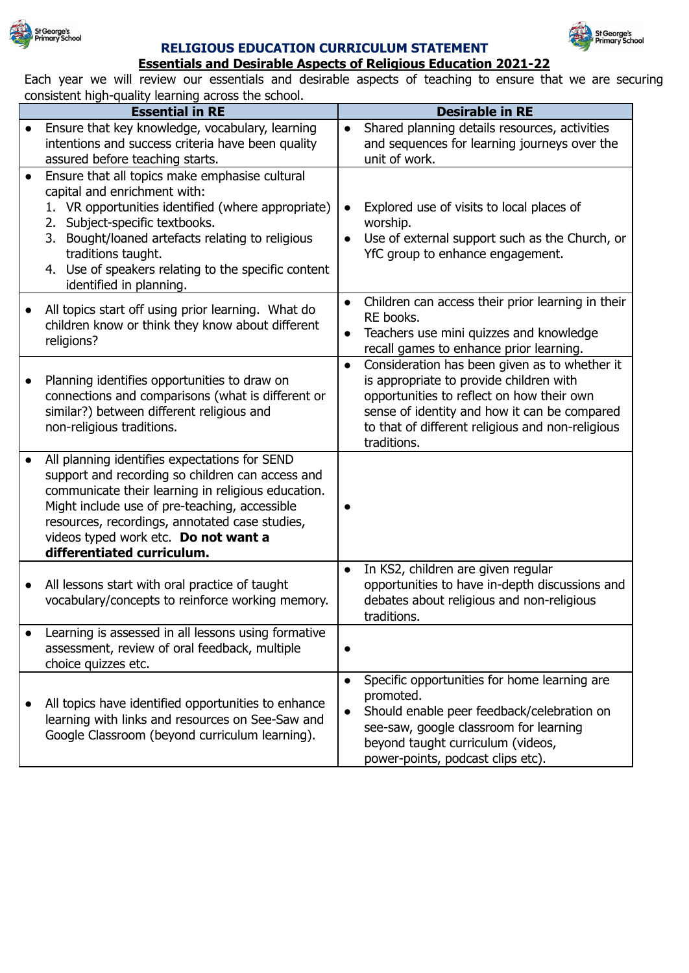

### **RELIGIOUS EDUCATION CURRICULUM STATEMENT**



## **Essentials and Desirable Aspects of Religious Education 2021-22**

Each year we will review our essentials and desirable aspects of teaching to ensure that we are securing consistent high-quality learning across the school.

|           | consistent ingit quanty rearring across the senson.<br><b>Essential in RE</b>                                                                                                                                                                                                                                                         | <b>Desirable in RE</b>                                                                                                                                                                                                                                                |
|-----------|---------------------------------------------------------------------------------------------------------------------------------------------------------------------------------------------------------------------------------------------------------------------------------------------------------------------------------------|-----------------------------------------------------------------------------------------------------------------------------------------------------------------------------------------------------------------------------------------------------------------------|
| $\bullet$ | Ensure that key knowledge, vocabulary, learning<br>intentions and success criteria have been quality<br>assured before teaching starts.                                                                                                                                                                                               | Shared planning details resources, activities<br>and sequences for learning journeys over the<br>unit of work.                                                                                                                                                        |
| $\bullet$ | Ensure that all topics make emphasise cultural<br>capital and enrichment with:<br>1. VR opportunities identified (where appropriate)<br>2. Subject-specific textbooks.<br>Bought/loaned artefacts relating to religious<br>3.<br>traditions taught.<br>4. Use of speakers relating to the specific content<br>identified in planning. | Explored use of visits to local places of<br>worship.<br>Use of external support such as the Church, or<br>YfC group to enhance engagement.                                                                                                                           |
|           | All topics start off using prior learning. What do<br>children know or think they know about different<br>religions?                                                                                                                                                                                                                  | Children can access their prior learning in their<br>RE books.<br>Teachers use mini quizzes and knowledge<br>recall games to enhance prior learning.                                                                                                                  |
|           | Planning identifies opportunities to draw on<br>connections and comparisons (what is different or<br>similar?) between different religious and<br>non-religious traditions.                                                                                                                                                           | Consideration has been given as to whether it<br>$\bullet$<br>is appropriate to provide children with<br>opportunities to reflect on how their own<br>sense of identity and how it can be compared<br>to that of different religious and non-religious<br>traditions. |
|           | All planning identifies expectations for SEND<br>support and recording so children can access and<br>communicate their learning in religious education.<br>Might include use of pre-teaching, accessible<br>resources, recordings, annotated case studies,<br>videos typed work etc. Do not want a<br>differentiated curriculum.      |                                                                                                                                                                                                                                                                       |
| $\bullet$ | All lessons start with oral practice of taught<br>vocabulary/concepts to reinforce working memory.                                                                                                                                                                                                                                    | In KS2, children are given regular<br>opportunities to have in-depth discussions and<br>debates about religious and non-religious<br>traditions.                                                                                                                      |
|           | Learning is assessed in all lessons using formative<br>assessment, review of oral feedback, multiple<br>choice quizzes etc.                                                                                                                                                                                                           |                                                                                                                                                                                                                                                                       |
|           | All topics have identified opportunities to enhance<br>learning with links and resources on See-Saw and<br>Google Classroom (beyond curriculum learning).                                                                                                                                                                             | Specific opportunities for home learning are<br>promoted.<br>Should enable peer feedback/celebration on<br>$\bullet$<br>see-saw, google classroom for learning<br>beyond taught curriculum (videos,<br>power-points, podcast clips etc).                              |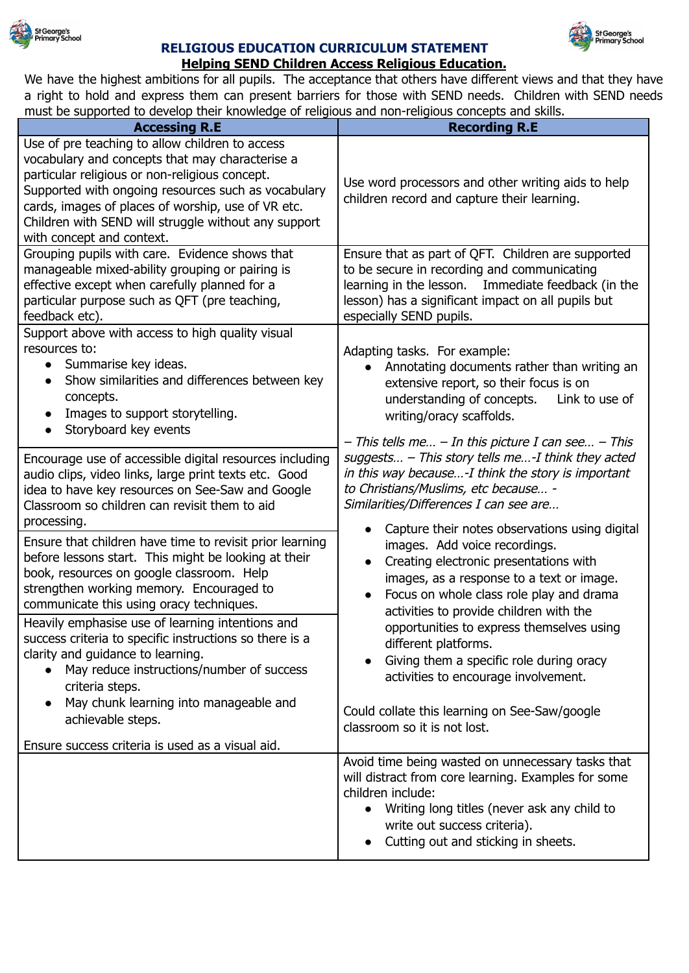

### **RELIGIOUS EDUCATION CURRICULUM STATEMENT**



We have the highest ambitions for all pupils. The acceptance that others have different views and that they have a right to hold and express them can present barriers for those with SEND needs. Children with SEND needs must be supported to develop their knowledge of religious and non-religious concepts and skills.

St George's<br>Primary School

| <b>Accessing R.E</b>                                                                                                                                                                                                                                                                                                                                                                                                                                                      | <b>Recording R.E</b>                                                                                                                                                                                                                                                                                                                                                                                                                |  |
|---------------------------------------------------------------------------------------------------------------------------------------------------------------------------------------------------------------------------------------------------------------------------------------------------------------------------------------------------------------------------------------------------------------------------------------------------------------------------|-------------------------------------------------------------------------------------------------------------------------------------------------------------------------------------------------------------------------------------------------------------------------------------------------------------------------------------------------------------------------------------------------------------------------------------|--|
| Use of pre teaching to allow children to access<br>vocabulary and concepts that may characterise a<br>particular religious or non-religious concept.<br>Supported with ongoing resources such as vocabulary<br>cards, images of places of worship, use of VR etc.<br>Children with SEND will struggle without any support<br>with concept and context.                                                                                                                    | Use word processors and other writing aids to help<br>children record and capture their learning.                                                                                                                                                                                                                                                                                                                                   |  |
| Grouping pupils with care. Evidence shows that<br>manageable mixed-ability grouping or pairing is<br>effective except when carefully planned for a<br>particular purpose such as QFT (pre teaching,<br>feedback etc).                                                                                                                                                                                                                                                     | Ensure that as part of QFT. Children are supported<br>to be secure in recording and communicating<br>Immediate feedback (in the<br>learning in the lesson.<br>lesson) has a significant impact on all pupils but<br>especially SEND pupils.                                                                                                                                                                                         |  |
| Support above with access to high quality visual<br>resources to:<br>Summarise key ideas.<br>$\bullet$<br>Show similarities and differences between key<br>concepts.<br>Images to support storytelling.<br>$\bullet$<br>Storyboard key events                                                                                                                                                                                                                             | Adapting tasks. For example:<br>Annotating documents rather than writing an<br>extensive report, so their focus is on<br>understanding of concepts.<br>Link to use of<br>writing/oracy scaffolds.<br>$-$ This tells me $-$ In this picture I can see $-$ This                                                                                                                                                                       |  |
| Encourage use of accessible digital resources including<br>audio clips, video links, large print texts etc. Good<br>idea to have key resources on See-Saw and Google<br>Classroom so children can revisit them to aid<br>processing.                                                                                                                                                                                                                                      | suggests $-$ This story tells me-I think they acted<br>in this way because-I think the story is important<br>to Christians/Muslims, etc because -<br>Similarities/Differences I can see are                                                                                                                                                                                                                                         |  |
| Ensure that children have time to revisit prior learning<br>before lessons start. This might be looking at their<br>book, resources on google classroom. Help<br>strengthen working memory. Encouraged to<br>communicate this using oracy techniques.<br>Heavily emphasise use of learning intentions and<br>success criteria to specific instructions so there is a<br>clarity and guidance to learning.<br>May reduce instructions/number of success<br>criteria steps. | Capture their notes observations using digital<br>images. Add voice recordings.<br>Creating electronic presentations with<br>$\bullet$<br>images, as a response to a text or image.<br>Focus on whole class role play and drama<br>activities to provide children with the<br>opportunities to express themselves using<br>different platforms.<br>Giving them a specific role during oracy<br>activities to encourage involvement. |  |
| May chunk learning into manageable and<br>$\bullet$<br>achievable steps.<br>Ensure success criteria is used as a visual aid.                                                                                                                                                                                                                                                                                                                                              | Could collate this learning on See-Saw/google<br>classroom so it is not lost.                                                                                                                                                                                                                                                                                                                                                       |  |
|                                                                                                                                                                                                                                                                                                                                                                                                                                                                           | Avoid time being wasted on unnecessary tasks that<br>will distract from core learning. Examples for some<br>children include:<br>• Writing long titles (never ask any child to<br>write out success criteria).<br>Cutting out and sticking in sheets.                                                                                                                                                                               |  |